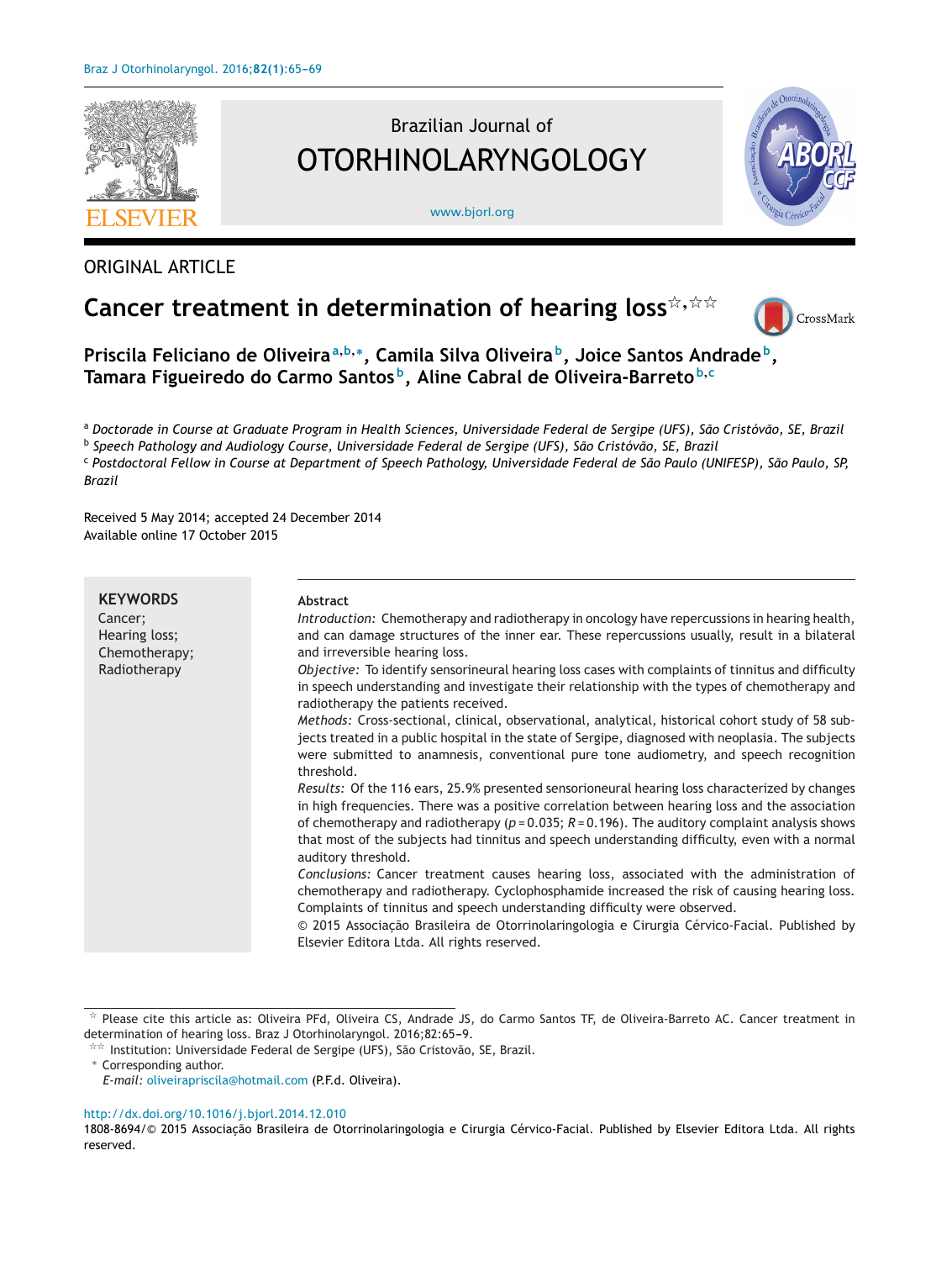

ORIGINAL ARTICLE

# Brazilian Journal of OTORHINOLARYNGOLOGY

[www.bjorl.org](http://www.bjorl.org)



# **Cancer treatment in determination of hearing loss**-**,**--



**Priscila Feliciano de Oliveira<sup>a</sup>,b,∗, Camila Silva Oliveira b, Joice Santos Andrade b, Tamara Figueiredo do Carmo Santos b, Aline Cabral de Oliveira-Barreto <sup>b</sup>,<sup>c</sup>**

<sup>a</sup> Doctorade in Course at Graduate Program in Health Sciences, Universidade Federal de Sergipe (UFS), São Cristóvão, SE, Brazil

<sup>b</sup> *Speech Pathology and Audiology Course, Universidade Federal de Sergipe (UFS), São Cristóvão, SE, Brazil*

<sup>c</sup> Postdoctoral Fellow in Course at Department of Speech Pathology, Universidade Federal de São Paulo (UNIFESP), São Paulo, SP, *Brazil*

Received 5 May 2014; accepted 24 December 2014 Available online 17 October 2015

| <b>KEYWORDS</b>                           | Abstract                                                                                                                                                                                                                                                                                                                                                                                                                           |
|-------------------------------------------|------------------------------------------------------------------------------------------------------------------------------------------------------------------------------------------------------------------------------------------------------------------------------------------------------------------------------------------------------------------------------------------------------------------------------------|
| Cancer:<br>Hearing loss;<br>Chemotherapy; | Introduction: Chemotherapy and radiotherapy in oncology have repercussions in hearing health,<br>and can damage structures of the inner ear. These repercussions usually, result in a bilateral<br>and irreversible hearing loss.                                                                                                                                                                                                  |
| Radiotherapy                              | Objective: To identify sensorineural hearing loss cases with complaints of tinnitus and difficulty<br>in speech understanding and investigate their relationship with the types of chemotherapy and<br>radiotherapy the patients received.                                                                                                                                                                                         |
|                                           | Methods: Cross-sectional, clinical, observational, analytical, historical cohort study of 58 sub-<br>jects treated in a public hospital in the state of Sergipe, diagnosed with neoplasia. The subjects<br>were submitted to anamnesis, conventional pure tone audiometry, and speech recognition<br>threshold.                                                                                                                    |
|                                           | Results: Of the 116 ears, 25.9% presented sensorioneural hearing loss characterized by changes<br>in high frequencies. There was a positive correlation between hearing loss and the association<br>of chemotherapy and radiotherapy ( $p = 0.035$ ; $R = 0.196$ ). The auditory complaint analysis shows<br>that most of the subjects had tinnitus and speech understanding difficulty, even with a normal<br>auditory threshold. |
|                                           | Conclusions: Cancer treatment causes hearing loss, associated with the administration of<br>chemotherapy and radiotherapy. Cyclophosphamide increased the risk of causing hearing loss.<br>Complaints of tinnitus and speech understanding difficulty were observed.<br>© 2015 Associação Brasileira de Otorrinolaringologia e Cirurgia Cérvico-Facial. Published by                                                               |
|                                           | Elsevier Editora Ltda. All rights reserved.                                                                                                                                                                                                                                                                                                                                                                                        |

 $^{\star}$  Please cite this article as: Oliveira PFd, Oliveira CS, Andrade JS, do Carmo Santos TF, de Oliveira-Barreto AC. Cancer treatment in determination of hearing loss. Braz J Otorhinolaryngol. 2016;82:65-9.

#### [http://dx.doi.org/10.1016/j.bjorl.2014.12.010](dx.doi.org/10.1016/j.bjorl.2014.12.010)

<sup>-</sup>- Institution: Universidade Federal de Sergipe (UFS), São Cristovão, SE, Brazil.

<sup>∗</sup> Corresponding author.

*E-mail:* [oliveirapriscila@hotmail.com](mailto:oliveirapriscila@hotmail.com) (P.F.d. Oliveira).

<sup>1808-8694/© 2015</sup> Associacão Brasileira de Otorrinolaringologia e Cirurgia Cérvico-Facial. Published by Elsevier Editora Ltda. All rights reserved.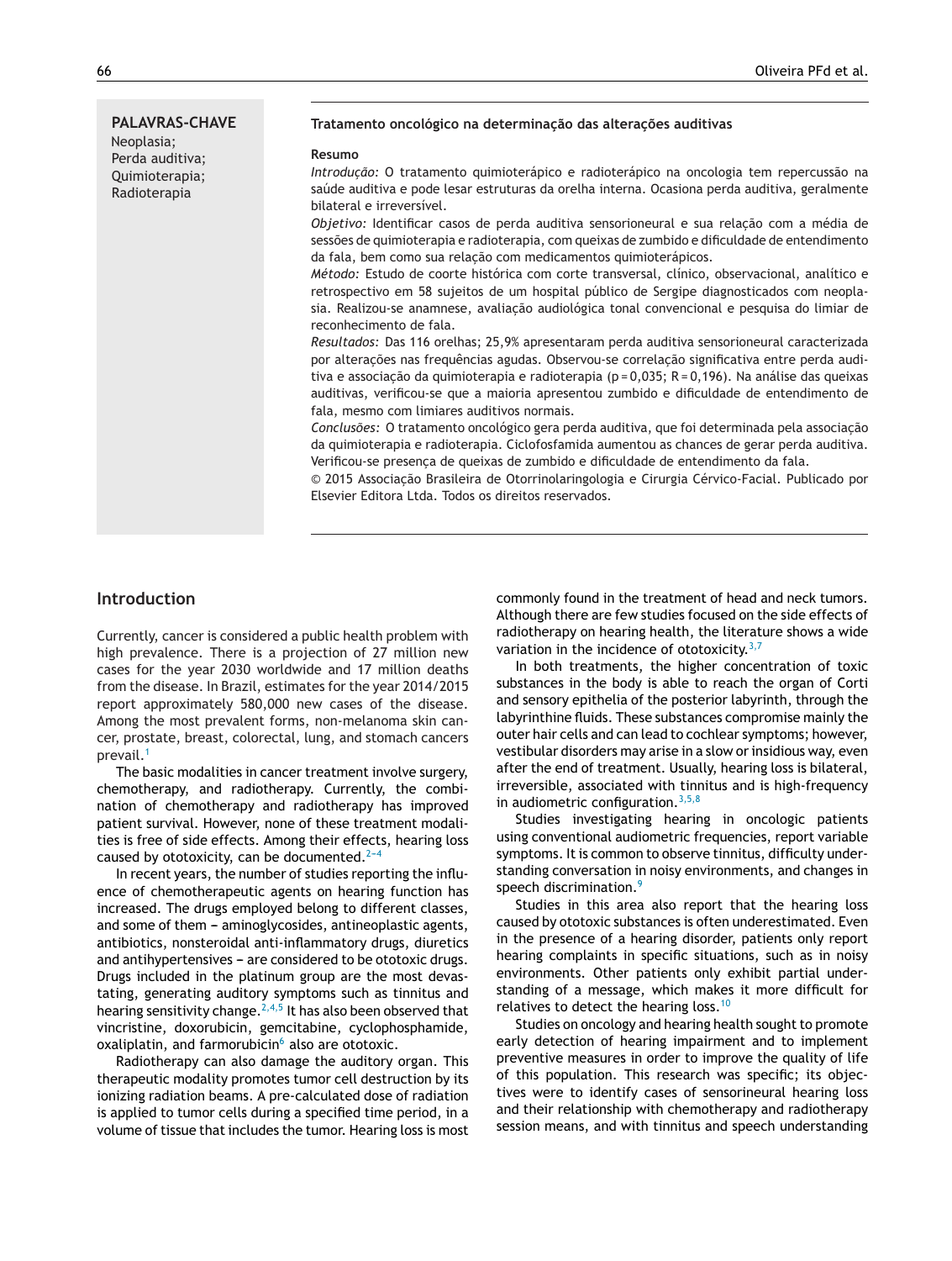#### **PALAVRAS-CHAVE** Neoplasia; Perda auditiva; Quimioterapia; Radioterapia **Tratamento oncológico na determinac¸ão das alterac¸ões auditivas Resumo** *Introdução:* O tratamento quimioterápico e radioterápico na oncologia tem repercussão na saúde auditiva e pode lesar estruturas da orelha interna. Ocasiona perda auditiva, geralmente bilateral e irreversível. Objetivo: Identificar casos de perda auditiva sensorioneural e sua relação com a média de sessões de quimioterapia e radioterapia, com queixas de zumbido e dificuldade de entendimento da fala, bem como sua relação com medicamentos quimioterápicos. *Método:* Estudo de coorte histórica com corte transversal, clínico, observacional, analítico e retrospectivo em 58 sujeitos de um hospital público de Sergipe diagnosticados com neoplasia. Realizou-se anamnese, avaliação audiológica tonal convencional e pesquisa do limiar de reconhecimento de fala. *Resultados:* Das 116 orelhas; 25,9% apresentaram perda auditiva sensorioneural caracterizada por alteracões nas frequências agudas. Observou-se correlação significativa entre perda auditiva e associação da quimioterapia e radioterapia (p = 0,035; R = 0,196). Na análise das queixas auditivas, verificou-se que a maioria apresentou zumbido e dificuldade de entendimento de fala, mesmo com limiares auditivos normais. Conclusões: O tratamento oncológico gera perda auditiva, que foi determinada pela associação da quimioterapia e radioterapia. Ciclofosfamida aumentou as chances de gerar perda auditiva. Verificou-se presença de queixas de zumbido e dificuldade de entendimento da fala.

© 2015 Associac¸ão Brasileira de Otorrinolaringologia e Cirurgia Cérvico-Facial. Publicado por Elsevier Editora Ltda. Todos os direitos reservados.

## **Introduction**

Currently, cancer is considered a public health problem with high prevalence. There is a projection of 27 million new cases for the year 2030 worldwide and 17 million deaths from the disease. In Brazil, estimates for the year 2014/2015 report approximately 580,000 new cases of the disease. Among the most prevalent forms, non-melanoma skin cancer, prostate, breast, colorectal, lung, and stomach cancers prevail.<sup>[1](#page-4-0)</sup>

The basic modalities in cancer treatment involve surgery, chemotherapy, and radiotherapy. Currently, the combination of chemotherapy and radiotherapy has improved patient survival. However, none of these treatment modalities is free of side effects. Among their effects, hearing loss caused by ototoxicity, can be documented. $2-4$ 

In recent years, the number of studies reporting the influence of chemotherapeutic agents on hearing function has increased. The drugs employed belong to different classes, and some of them - aminoglycosides, antineoplastic agents, antibiotics, nonsteroidal anti-inflammatory drugs, diuretics and antihypertensives - are considered to be ototoxic drugs. Drugs included in the platinum group are the most devastating, generating auditory symptoms such as tinnitus and hearing sensitivity change.<sup>[2,4,5](#page-4-0)</sup> It has also been observed that vincristine, doxorubicin, gemcitabine, cyclophosphamide, oxaliplatin, and farmorubicin $6$  also are ototoxic.

Radiotherapy can also damage the auditory organ. This therapeutic modality promotes tumor cell destruction by its ionizing radiation beams. A pre-calculated dose of radiation is applied to tumor cells during a specified time period, in a volume of tissue that includes the tumor. Hearing loss is most

commonly found in the treatment of head and neck tumors. Although there are few studies focused on the side effects of radiotherapy on hearing health, the literature shows a wide variation in the incidence of ototoxicity. $3,7$ 

In both treatments, the higher concentration of toxic substances in the body is able to reach the organ of Corti and sensory epithelia of the posterior labyrinth, through the labyrinthine fluids. These substances compromise mainly the outer hair cells and can lead to cochlear symptoms; however, vestibular disorders may arise in a slow or insidious way, even after the end of treatment. Usually, hearing loss is bilateral, irreversible, associated with tinnitus and is high-frequency in audiometric configuration.  $3,5,8$ 

Studies investigating hearing in oncologic patients using conventional audiometric frequencies, report variable symptoms. It is common to observe tinnitus, difficulty understanding conversation in noisy environments, and changes in speech discrimination.<sup>[9](#page-4-0)</sup>

Studies in this area also report that the hearing loss caused by ototoxic substances is often underestimated. Even in the presence of a hearing disorder, patients only report hearing complaints in specific situations, such as in noisy environments. Other patients only exhibit partial understanding of a message, which makes it more difficult for relatives to detect the hearing loss.<sup>[10](#page-4-0)</sup>

Studies on oncology and hearing health sought to promote early detection of hearing impairment and to implement preventive measures in order to improve the quality of life of this population. This research was specific; its objectives were to identify cases of sensorineural hearing loss and their relationship with chemotherapy and radiotherapy session means, and with tinnitus and speech understanding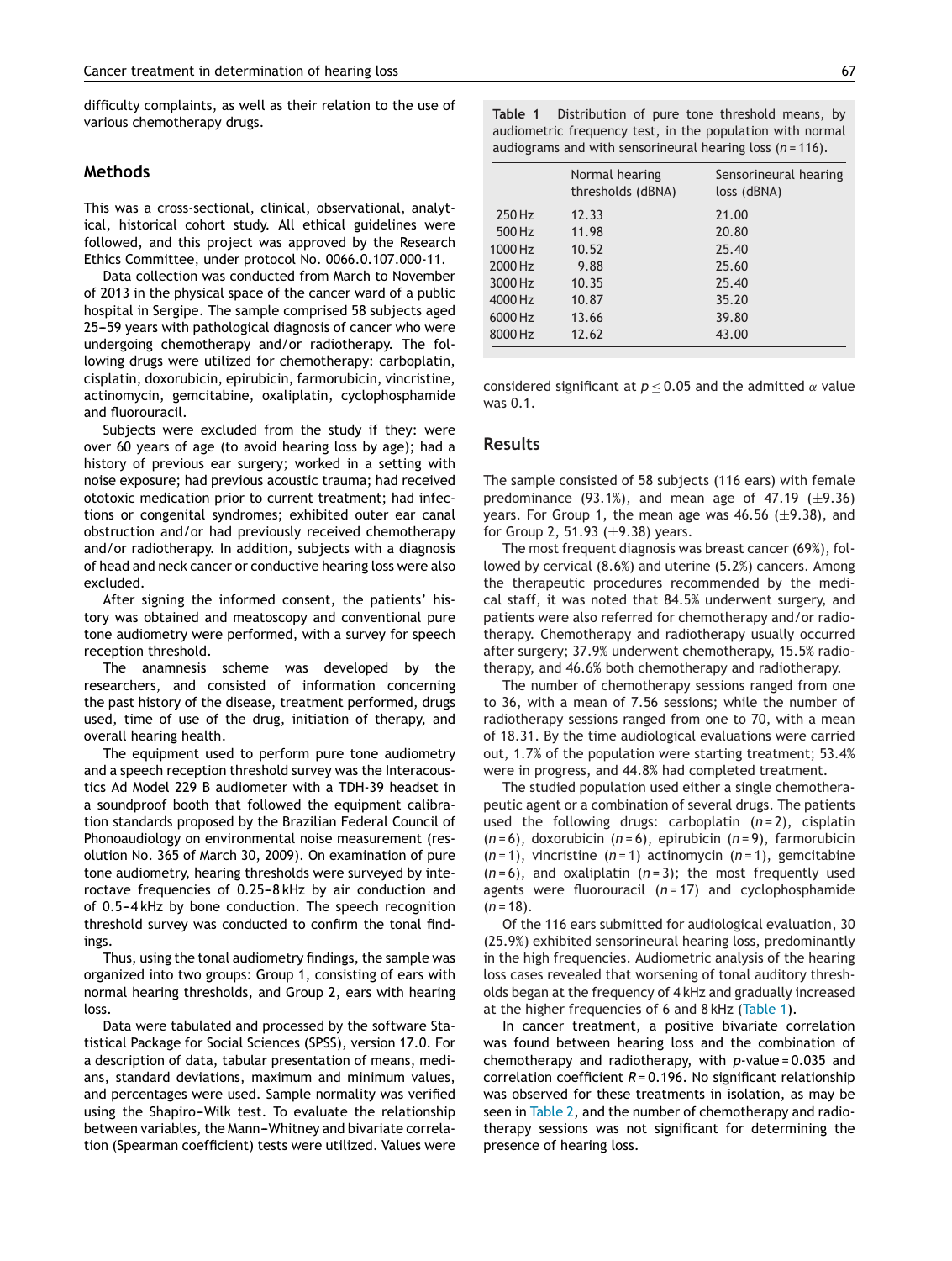difficulty complaints, as well as their relation to the use of various chemotherapy drugs.

### **Methods**

This was a cross-sectional, clinical, observational, analytical, historical cohort study. All ethical guidelines were followed, and this project was approved by the Research Ethics Committee, under protocol No. 0066.0.107.000-11.

Data collection was conducted from March to November of 2013 in the physical space of the cancer ward of a public hospital in Sergipe. The sample comprised 58 subjects aged 25-59 years with pathological diagnosis of cancer who were undergoing chemotherapy and/or radiotherapy. The following drugs were utilized for chemotherapy: carboplatin, cisplatin, doxorubicin, epirubicin, farmorubicin, vincristine, actinomycin, gemcitabine, oxaliplatin, cyclophosphamide and fluorouracil.

Subjects were excluded from the study if they: were over 60 years of age (to avoid hearing loss by age); had a history of previous ear surgery; worked in a setting with noise exposure; had previous acoustic trauma; had received ototoxic medication prior to current treatment; had infections or congenital syndromes; exhibited outer ear canal obstruction and/or had previously received chemotherapy and/or radiotherapy. In addition, subjects with a diagnosis of head and neck cancer or conductive hearing loss were also excluded.

After signing the informed consent, the patients' history was obtained and meatoscopy and conventional pure tone audiometry were performed, with a survey for speech reception threshold.

The anamnesis scheme was developed by the researchers, and consisted of information concerning the past history of the disease, treatment performed, drugs used, time of use of the drug, initiation of therapy, and overall hearing health.

The equipment used to perform pure tone audiometry and a speech reception threshold survey was the Interacoustics Ad Model 229 B audiometer with a TDH-39 headset in a soundproof booth that followed the equipment calibration standards proposed by the Brazilian Federal Council of Phonoaudiology on environmental noise measurement (resolution No. 365 of March 30, 2009). On examination of pure tone audiometry, hearing thresholds were surveyed by interoctave frequencies of 0.25-8 kHz by air conduction and of 0.5-4 kHz by bone conduction. The speech recognition threshold survey was conducted to confirm the tonal findings.

Thus, using the tonal audiometry findings, the sample was organized into two groups: Group 1, consisting of ears with normal hearing thresholds, and Group 2, ears with hearing loss.

Data were tabulated and processed by the software Statistical Package for Social Sciences (SPSS), version 17.0. For a description of data, tabular presentation of means, medians, standard deviations, maximum and minimum values, and percentages were used. Sample normality was verified using the Shapiro-Wilk test. To evaluate the relationship between variables, the Mann-Whitney and bivariate correlation (Spearman coefficient) tests were utilized. Values were

|         | Normal hearing<br>thresholds (dBNA) | Sensorineural hearing<br>loss (dBNA) |
|---------|-------------------------------------|--------------------------------------|
| 250 Hz  | 12.33                               | 21.00                                |
| 500 Hz  | 11.98                               | 20.80                                |
| 1000 Hz | 10.52                               | 25.40                                |
| 2000 Hz | 9.88                                | 25.60                                |
| 3000 Hz | 10.35                               | 25.40                                |
| 4000 Hz | 10.87                               | 35.20                                |
| 6000 Hz | 13.66                               | 39.80                                |
| 8000 Hz | 12.62                               | 43.00                                |

**Table 1** Distribution of pure tone threshold means, by audiometric frequency test, in the population with normal audiograms and with sensorineural hearing loss (*n* = 116).

considered significant at  $p \le 0.05$  and the admitted  $\alpha$  value was 0.1.

#### **Results**

The sample consisted of 58 subjects (116 ears) with female predominance  $(93.1\%)$ , and mean age of 47.19  $(\pm 9.36)$ years. For Group 1, the mean age was  $46.56$  ( $\pm$ 9.38), and for Group 2, 51.93  $(\pm 9.38)$  years.

The most frequent diagnosis was breast cancer (69%), followed by cervical (8.6%) and uterine (5.2%) cancers. Among the therapeutic procedures recommended by the medical staff, it was noted that 84.5% underwent surgery, and patients were also referred for chemotherapy and/or radiotherapy. Chemotherapy and radiotherapy usually occurred after surgery; 37.9% underwent chemotherapy, 15.5% radiotherapy, and 46.6% both chemotherapy and radiotherapy.

The number of chemotherapy sessions ranged from one to 36, with a mean of 7.56 sessions; while the number of radiotherapy sessions ranged from one to 70, with a mean of 18.31. By the time audiological evaluations were carried out, 1.7% of the population were starting treatment; 53.4% were in progress, and 44.8% had completed treatment.

The studied population used either a single chemotherapeutic agent or a combination of several drugs. The patients used the following drugs: carboplatin (*n* = 2), cisplatin (*n* = 6), doxorubicin (*n* = 6), epirubicin (*n* = 9), farmorubicin (*n* = 1), vincristine (*n* = 1) actinomycin (*n* = 1), gemcitabine  $(n=6)$ , and oxaliplatin  $(n=3)$ ; the most frequently used agents were fluorouracil (*n* = 17) and cyclophosphamide  $(n = 18)$ .

Of the 116 ears submitted for audiological evaluation, 30 (25.9%) exhibited sensorineural hearing loss, predominantly in the high frequencies. Audiometric analysis of the hearing loss cases revealed that worsening of tonal auditory thresholds began at the frequency of 4 kHz and gradually increased at the higher frequencies of 6 and 8 kHz (Table 1).

In cancer treatment, a positive bivariate correlation was found between hearing loss and the combination of chemotherapy and radiotherapy, with *p*-value = 0.035 and correlation coefficient *R* = 0.196. No significant relationship was observed for these treatments in isolation, as may be seen in [Table](#page-3-0) 2, and the number of chemotherapy and radiotherapy sessions was not significant for determining the presence of hearing loss.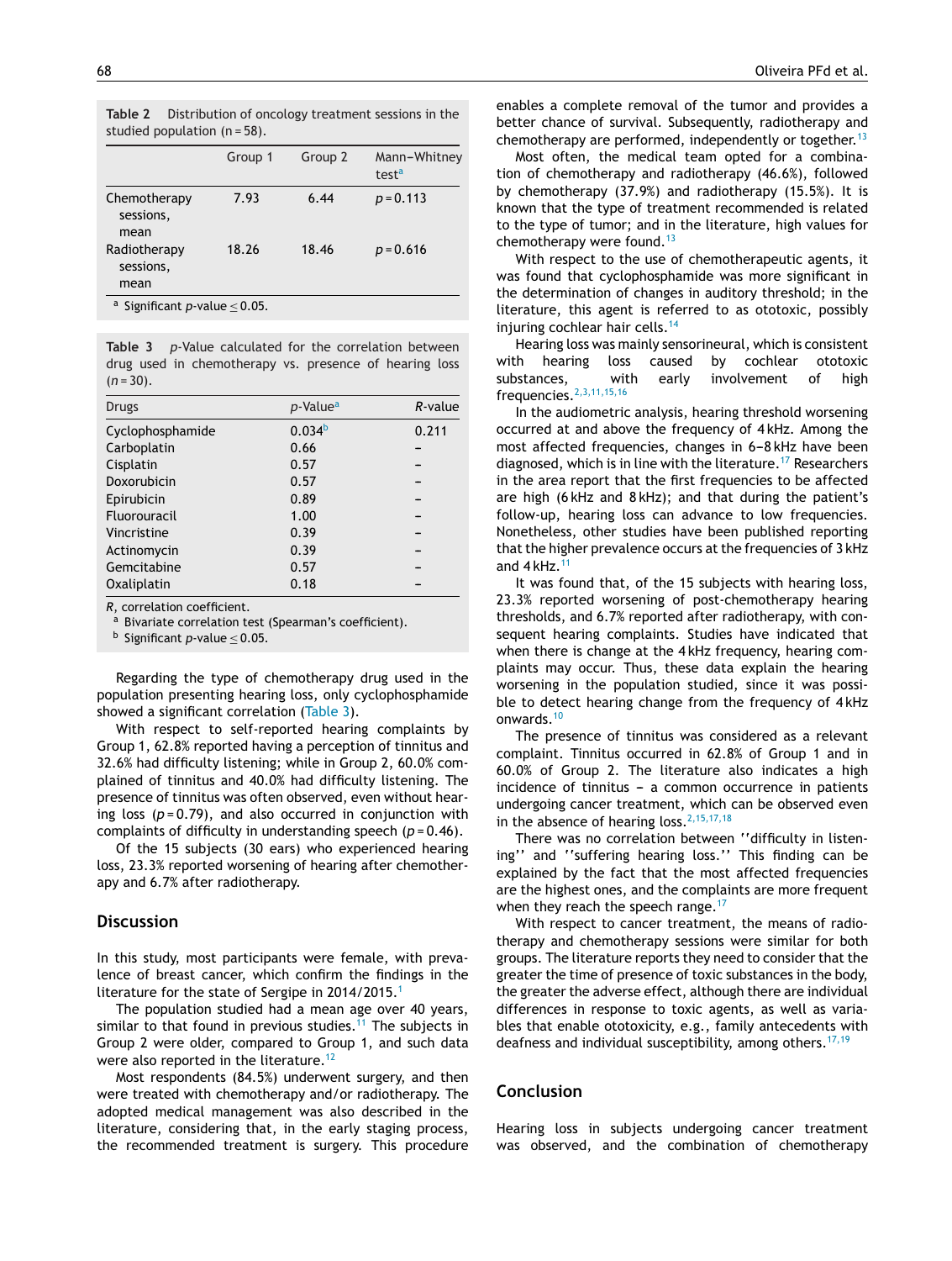<span id="page-3-0"></span>

|                                                       | Group 1 | Group 2 | Mann-Whitney<br>test <sup>a</sup> |  |
|-------------------------------------------------------|---------|---------|-----------------------------------|--|
| Chemotherapy<br>sessions,<br>mean                     | 7.93    | 6.44    | $p = 0.113$                       |  |
| Radiotherapy<br>sessions,<br>mean                     | 18.26   | 18.46   | $p = 0.616$                       |  |
| <sup>a</sup> Significant <i>p</i> -value $\leq$ 0.05. |         |         |                                   |  |

**Table 3** *p*-Value calculated for the correlation between drug used in chemotherapy vs. presence of hearing loss  $(n=30)$ .

| Drugs            | <i>p</i> -Value <sup>a</sup> | $R$ -value |
|------------------|------------------------------|------------|
| Cyclophosphamide | 0.034 <sup>b</sup>           | 0.211      |
| Carboplatin      | 0.66                         |            |
| Cisplatin        | 0.57                         |            |
| Doxorubicin      | 0.57                         |            |
| Epirubicin       | 0.89                         |            |
| Fluorouracil     | 1.00                         |            |
| Vincristine      | 0.39                         |            |
| Actinomycin      | 0.39                         |            |
| Gemcitabine      | 0.57                         |            |
| Oxaliplatin      | 0.18                         |            |

*R*, correlation coefficient.

a Bivariate correlation test (Spearman's coefficient).

<sup>b</sup> Significant *<sup>p</sup>*-value <sup>≤</sup> 0.05.

Regarding the type of chemotherapy drug used in the population presenting hearing loss, only cyclophosphamide showed a significant correlation (Table 3).

With respect to self-reported hearing complaints by Group 1, 62.8% reported having a perception of tinnitus and 32.6% had difficulty listening; while in Group 2, 60.0% complained of tinnitus and 40.0% had difficulty listening. The presence of tinnitus was often observed, even without hearing loss  $(p=0.79)$ , and also occurred in conjunction with complaints of difficulty in understanding speech (*p* = 0.46).

Of the 15 subjects (30 ears) who experienced hearing loss, 23.3% reported worsening of hearing after chemotherapy and 6.7% after radiotherapy.

### **Discussion**

In this study, most participants were female, with prevalence of breast cancer, which confirm the findings in the literature for the state of Sergipe in 20[1](#page-4-0)4/2015.<sup>1</sup>

The population studied had a mean age over 40 years, similar to that found in previous studies.<sup>[11](#page-4-0)</sup> The subjects in Group 2 were older, compared to Group 1, and such data were also reported in the literature.<sup>[12](#page-4-0)</sup>

Most respondents (84.5%) underwent surgery, and then were treated with chemotherapy and/or radiotherapy. The adopted medical management was also described in the literature, considering that, in the early staging process, the recommended treatment is surgery. This procedure enables a complete removal of the tumor and provides a better chance of survival. Subsequently, radiotherapy and chemotherapy are performed, independently or together.<sup>[13](#page-4-0)</sup>

Most often, the medical team opted for a combination of chemotherapy and radiotherapy (46.6%), followed by chemotherapy (37.9%) and radiotherapy (15.5%). It is known that the type of treatment recommended is related to the type of tumor; and in the literature, high values for chemotherapy were found. $13$ 

With respect to the use of chemotherapeutic agents, it was found that cyclophosphamide was more significant in the determination of changes in auditory threshold; in the literature, this agent is referred to as ototoxic, possibly injuring cochlear hair cells.<sup>[14](#page-4-0)</sup>

Hearing loss was mainly sensorineural, which is consistent with hearing loss caused by cochlear ototoxic substances, with early involvement of high frequencies.[2,3,11,15,16](#page-4-0)

In the audiometric analysis, hearing threshold worsening occurred at and above the frequency of 4 kHz. Among the most affected frequencies, changes in 6-8 kHz have been diagnosed, which is in line with the literature.<sup>[17](#page-4-0)</sup> Researchers in the area report that the first frequencies to be affected are high (6 kHz and 8 kHz); and that during the patient's follow-up, hearing loss can advance to low frequencies. Nonetheless, other studies have been published reporting that the higher prevalence occurs at the frequencies of 3 kHz and  $4$  kHz.<sup>[11](#page-4-0)</sup>

It was found that, of the 15 subjects with hearing loss, 23.3% reported worsening of post-chemotherapy hearing thresholds, and 6.7% reported after radiotherapy, with consequent hearing complaints. Studies have indicated that when there is change at the 4 kHz frequency, hearing complaints may occur. Thus, these data explain the hearing worsening in the population studied, since it was possible to detect hearing change from the frequency of 4 kHz onwards.[10](#page-4-0)

The presence of tinnitus was considered as a relevant complaint. Tinnitus occurred in 62.8% of Group 1 and in 60.0% of Group 2. The literature also indicates a high  $incidence of tinnitus - a common occurrence in patients$ undergoing cancer treatment, which can be observed even in the absence of hearing loss.  $2,15,17,18$ 

There was no correlation between ''difficulty in listening'' and ''suffering hearing loss.'' This finding can be explained by the fact that the most affected frequencies are the highest ones, and the complaints are more frequent when they reach the speech range.<sup>[17](#page-4-0)</sup>

With respect to cancer treatment, the means of radiotherapy and chemotherapy sessions were similar for both groups. The literature reports they need to consider that the greater the time of presence of toxic substances in the body, the greater the adverse effect, although there are individual differences in response to toxic agents, as well as variables that enable ototoxicity, e.g., family antecedents with deafness and individual susceptibility, among others.<sup>[17,19](#page-4-0)</sup>

## **Conclusion**

Hearing loss in subjects undergoing cancer treatment was observed, and the combination of chemotherapy